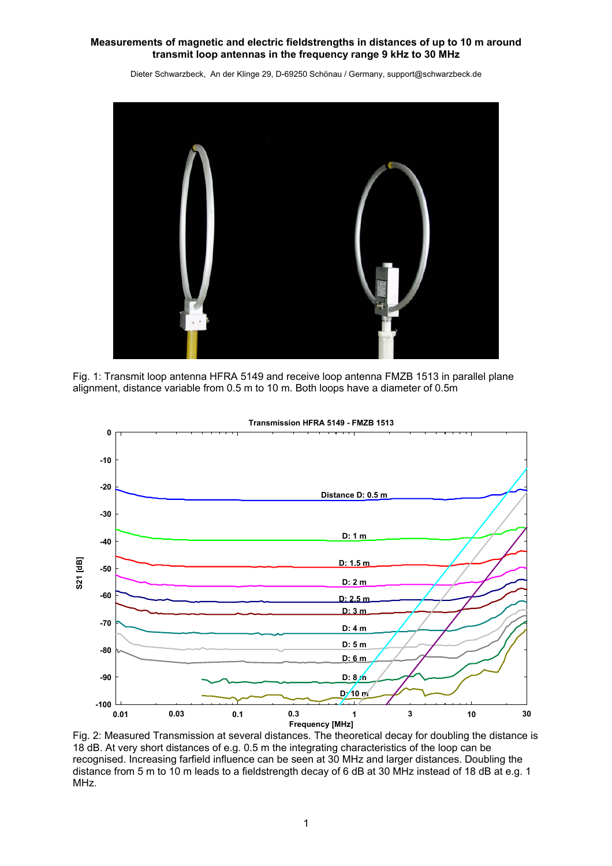Dieter Schwarzbeck, An der Klinge 29, D-69250 Schönau / Germany, support@schwarzbeck.de



Fig. 1: Transmit loop antenna HFRA 5149 and receive loop antenna FMZB 1513 in parallel plane alignment, distance variable from 0.5 m to 10 m. Both loops have a diameter of 0.5m



**Transmission HFRA 5149 - FMZB 1513**

Fig. 2: Measured Transmission at several distances. The theoretical decay for doubling the distance is 18 dB. At very short distances of e.g. 0.5 m the integrating characteristics of the loop can be recognised. Increasing farfield influence can be seen at 30 MHz and larger distances. Doubling the distance from 5 m to 10 m leads to a fieldstrength decay of 6 dB at 30 MHz instead of 18 dB at e.g. 1 MHz.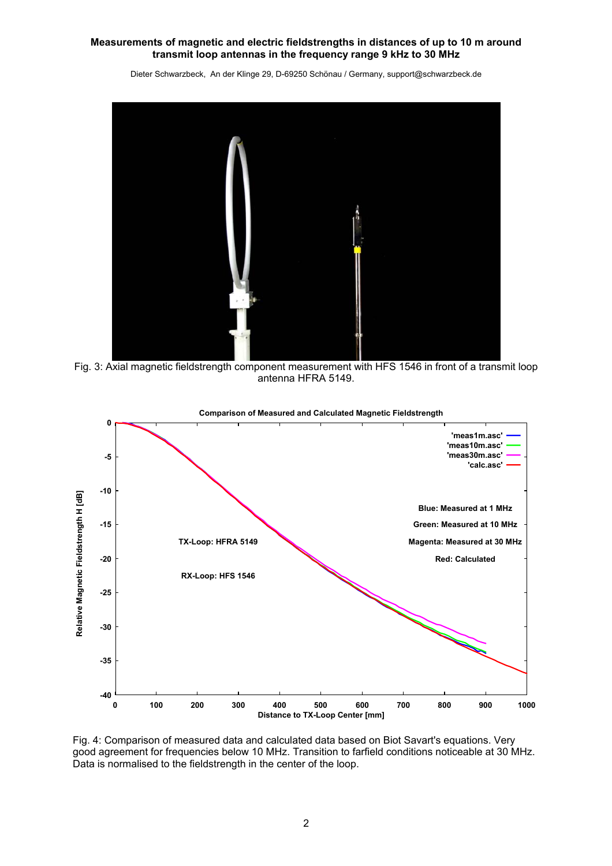Dieter Schwarzbeck, An der Klinge 29, D-69250 Schönau / Germany, support@schwarzbeck.de



Fig. 3: Axial magnetic fieldstrength component measurement with HFS 1546 in front of a transmit loop antenna HFRA 5149.



**Comparison of Measured and Calculated Magnetic Fieldstrength**

Fig. 4: Comparison of measured data and calculated data based on Biot Savart's equations. Very good agreement for frequencies below 10 MHz. Transition to farfield conditions noticeable at 30 MHz. Data is normalised to the fieldstrength in the center of the loop.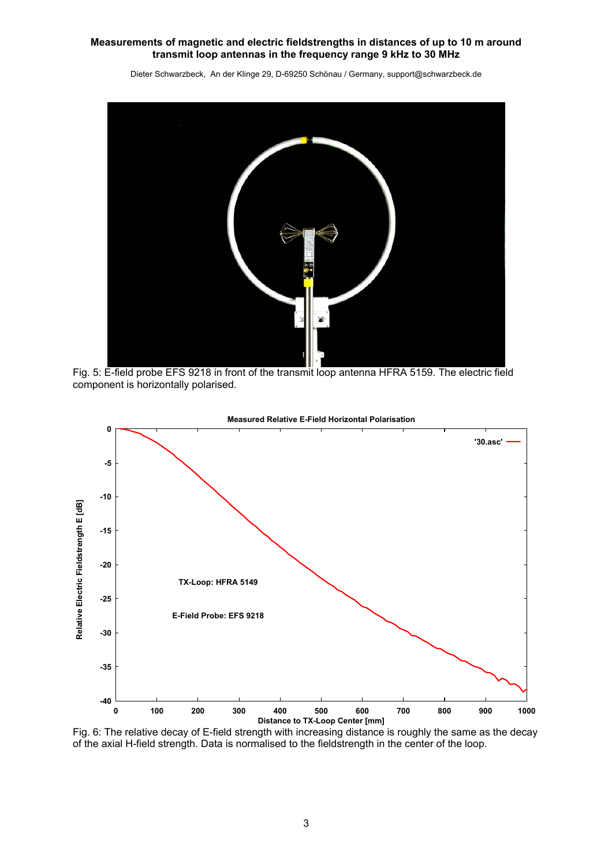

Dieter Schwarzbeck, An der Klinge 29, D-69250 Schönau / Germany, support@schwarzbeck.de

Fig. 5: E-field probe EFS 9218 in front of the transmit loop antenna HFRA 5159. The electric field component is horizontally polarised.



#### **Measured Relative E-Field Horizontal Polarisation**

Fig. 6: The relative decay of E-field strength with increasing distance is roughly the same as the decay of the axial H-field strength. Data is normalised to the fieldstrength in the center of the loop.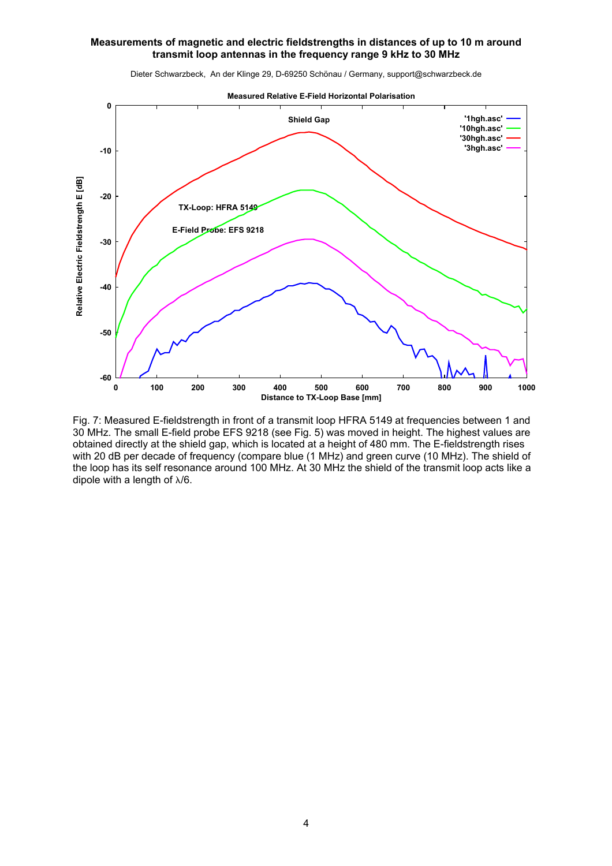Dieter Schwarzbeck, An der Klinge 29, D-69250 Schönau / Germany, support@schwarzbeck.de



**Measured Relative E-Field Horizontal Polarisation**

Fig. 7: Measured E-fieldstrength in front of a transmit loop HFRA 5149 at frequencies between 1 and 30 MHz. The small E-field probe EFS 9218 (see Fig. 5) was moved in height. The highest values are obtained directly at the shield gap, which is located at a height of 480 mm. The E-fieldstrength rises with 20 dB per decade of frequency (compare blue (1 MHz) and green curve (10 MHz). The shield of the loop has its self resonance around 100 MHz. At 30 MHz the shield of the transmit loop acts like a dipole with a length of λ/6.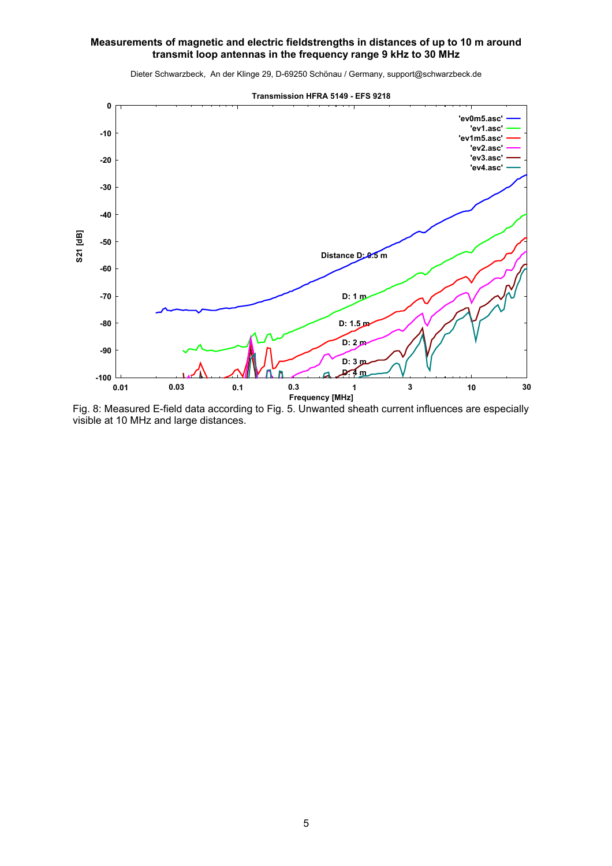

Dieter Schwarzbeck, An der Klinge 29, D-69250 Schönau / Germany, support@schwarzbeck.de

Fig. 8: Measured E-field data according to Fig. 5. Unwanted sheath current influences are especially visible at 10 MHz and large distances.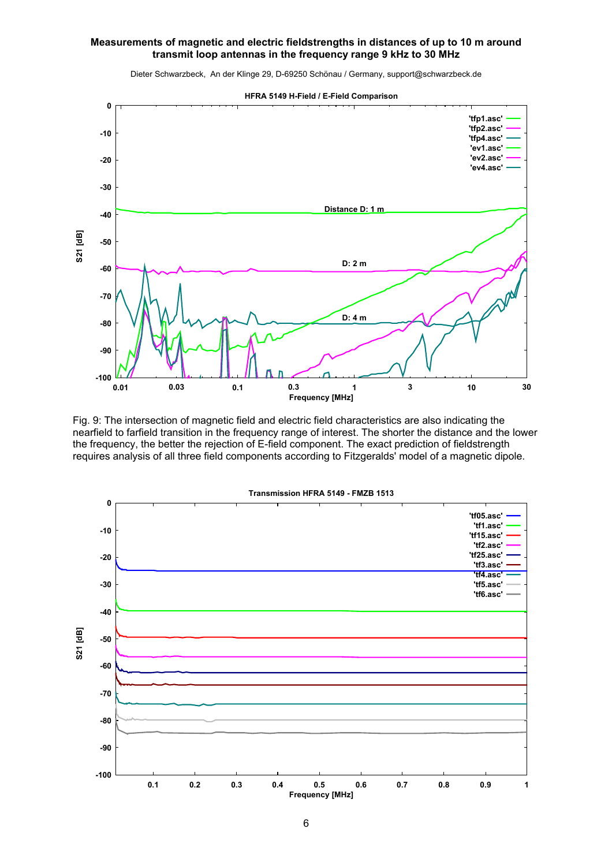

Dieter Schwarzbeck, An der Klinge 29, D-69250 Schönau / Germany, support@schwarzbeck.de

Fig. 9: The intersection of magnetic field and electric field characteristics are also indicating the nearfield to farfield transition in the frequency range of interest. The shorter the distance and the lower the frequency, the better the rejection of E-field component. The exact prediction of fieldstrength requires analysis of all three field components according to Fitzgeralds' model of a magnetic dipole.

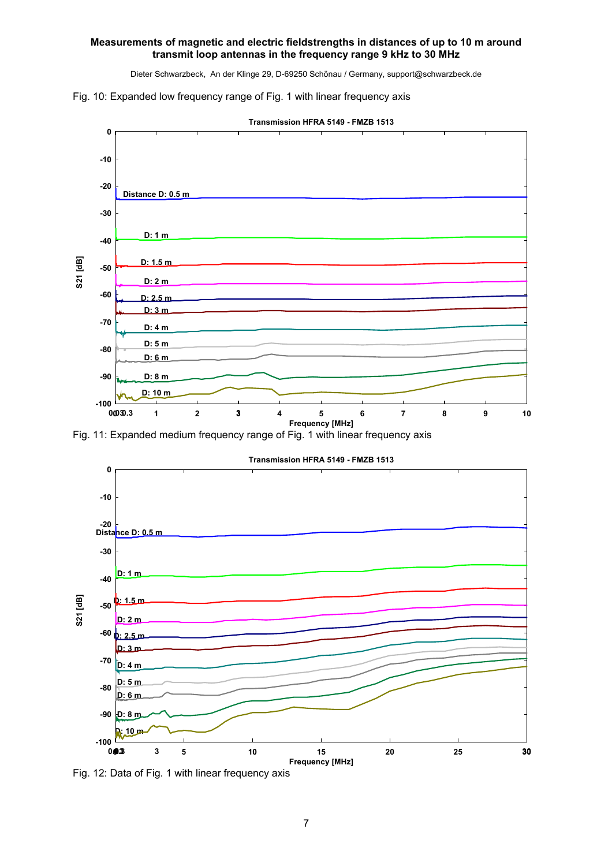Dieter Schwarzbeck, An der Klinge 29, D-69250 Schönau / Germany, support@schwarzbeck.de





**Transmission HFRA 5149 - FMZB 1513**

Fig. 11: Expanded medium frequency range of Fig. 1 with linear frequency axis



Fig. 12: Data of Fig. 1 with linear frequency axis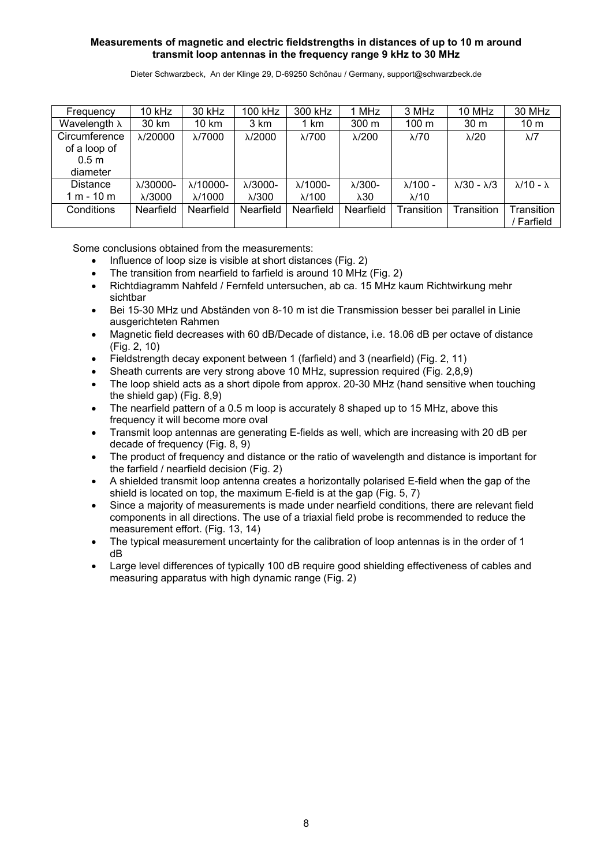Dieter Schwarzbeck, An der Klinge 29, D-69250 Schönau / Germany, support@schwarzbeck.de

| Frequency            | $10$ kHz          | 30 kHz            | 100 kHz          | 300 kHz          | 1 MHz            | 3 MHz            | 10 MHz                       | 30 MHz                    |
|----------------------|-------------------|-------------------|------------------|------------------|------------------|------------------|------------------------------|---------------------------|
| Wavelength $\lambda$ | 30 km             | 10 km             | 3 km             | 1 km             | 300 <sub>m</sub> | 100 <sub>m</sub> | 30 <sub>m</sub>              | 10 <sub>m</sub>           |
| Circumference        | $\lambda$ /20000  | $\lambda$ /7000   | $\lambda$ /2000  | $\lambda$ /700   | $\lambda$ /200   | $\lambda$ /70    | $\lambda$ /20                | $\lambda$ /7              |
| of a loop of         |                   |                   |                  |                  |                  |                  |                              |                           |
| 0.5 <sub>m</sub>     |                   |                   |                  |                  |                  |                  |                              |                           |
| diameter             |                   |                   |                  |                  |                  |                  |                              |                           |
| <b>Distance</b>      | $\lambda$ /30000- | $\lambda$ /10000- | $\lambda$ /3000- | $\lambda$ /1000- | $\lambda$ /300-  | $\lambda$ /100 - | $\lambda$ /30 - $\lambda$ /3 | $\lambda$ /10 - $\lambda$ |
| $1 m - 10 m$         | $\lambda$ /3000   | $\lambda$ /1000   | $\lambda$ /300   | $\lambda$ /100   | $\lambda 30$     | $\lambda$ /10    |                              |                           |
| Conditions           | Nearfield         | Nearfield         | Nearfield        | Nearfield        | Nearfield        | Transition       | Transition                   | Transition                |
|                      |                   |                   |                  |                  |                  |                  |                              | Farfield                  |

Some conclusions obtained from the measurements:

- Influence of loop size is visible at short distances (Fig. 2)
- The transition from nearfield to farfield is around 10 MHz (Fig. 2)
- Richtdiagramm Nahfeld / Fernfeld untersuchen, ab ca. 15 MHz kaum Richtwirkung mehr sichtbar
- Bei 15-30 MHz und Abständen von 8-10 m ist die Transmission besser bei parallel in Linie ausgerichteten Rahmen
- Magnetic field decreases with 60 dB/Decade of distance, i.e. 18,06 dB per octave of distance (Fig. 2, 10)
- Fieldstrength decay exponent between 1 (farfield) and 3 (nearfield) (Fig. 2, 11)
- Sheath currents are very strong above 10 MHz, supression required (Fig. 2,8,9)
- The loop shield acts as a short dipole from approx. 20-30 MHz (hand sensitive when touching the shield gap) (Fig. 8,9)
- The nearfield pattern of a 0.5 m loop is accurately 8 shaped up to 15 MHz, above this frequency it will become more oval
- Transmit loop antennas are generating E-fields as well, which are increasing with 20 dB per decade of frequency (Fig. 8, 9)
- The product of frequency and distance or the ratio of wavelength and distance is important for the farfield / nearfield decision (Fig. 2)
- A shielded transmit loop antenna creates a horizontally polarised E-field when the gap of the shield is located on top, the maximum E-field is at the gap (Fig. 5, 7)
- Since a majority of measurements is made under nearfield conditions, there are relevant field components in all directions. The use of a triaxial field probe is recommended to reduce the measurement effort. (Fig. 13, 14)
- The typical measurement uncertainty for the calibration of loop antennas is in the order of 1 dB
- Large level differences of typically 100 dB require good shielding effectiveness of cables and measuring apparatus with high dynamic range (Fig. 2)